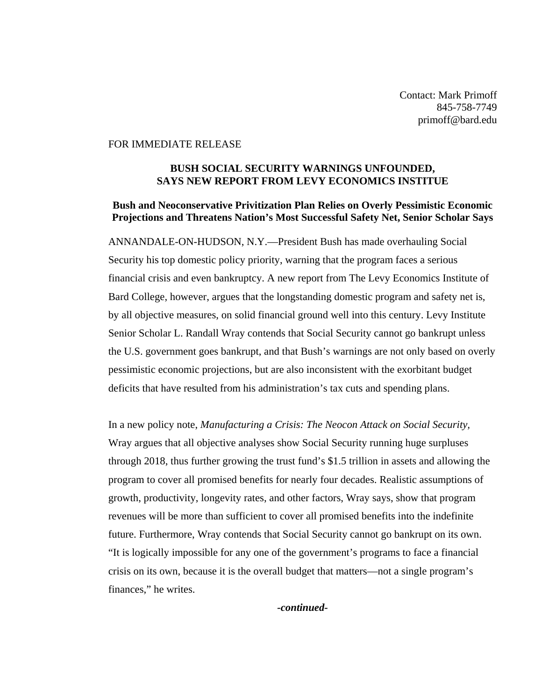Contact: Mark Primoff 845-758-7749 primoff@bard.edu

## FOR IMMEDIATE RELEASE

## **BUSH SOCIAL SECURITY WARNINGS UNFOUNDED, SAYS NEW REPORT FROM LEVY ECONOMICS INSTITUE**

## **Bush and Neoconservative Privitization Plan Relies on Overly Pessimistic Economic Projections and Threatens Nation's Most Successful Safety Net, Senior Scholar Says**

ANNANDALE-ON-HUDSON, N.Y.—President Bush has made overhauling Social Security his top domestic policy priority, warning that the program faces a serious financial crisis and even bankruptcy. A new report from The Levy Economics Institute of Bard College, however, argues that the longstanding domestic program and safety net is, by all objective measures, on solid financial ground well into this century. Levy Institute Senior Scholar L. Randall Wray contends that Social Security cannot go bankrupt unless the U.S. government goes bankrupt, and that Bush's warnings are not only based on overly pessimistic economic projections, but are also inconsistent with the exorbitant budget deficits that have resulted from his administration's tax cuts and spending plans.

In a new policy note, *Manufacturing a Crisis: The Neocon Attack on Social Security,*  Wray argues that all objective analyses show Social Security running huge surpluses through 2018, thus further growing the trust fund's \$1.5 trillion in assets and allowing the program to cover all promised benefits for nearly four decades. Realistic assumptions of growth, productivity, longevity rates, and other factors, Wray says, show that program revenues will be more than sufficient to cover all promised benefits into the indefinite future. Furthermore, Wray contends that Social Security cannot go bankrupt on its own. "It is logically impossible for any one of the government's programs to face a financial crisis on its own, because it is the overall budget that matters—not a single program's finances," he writes.

*-continued-*